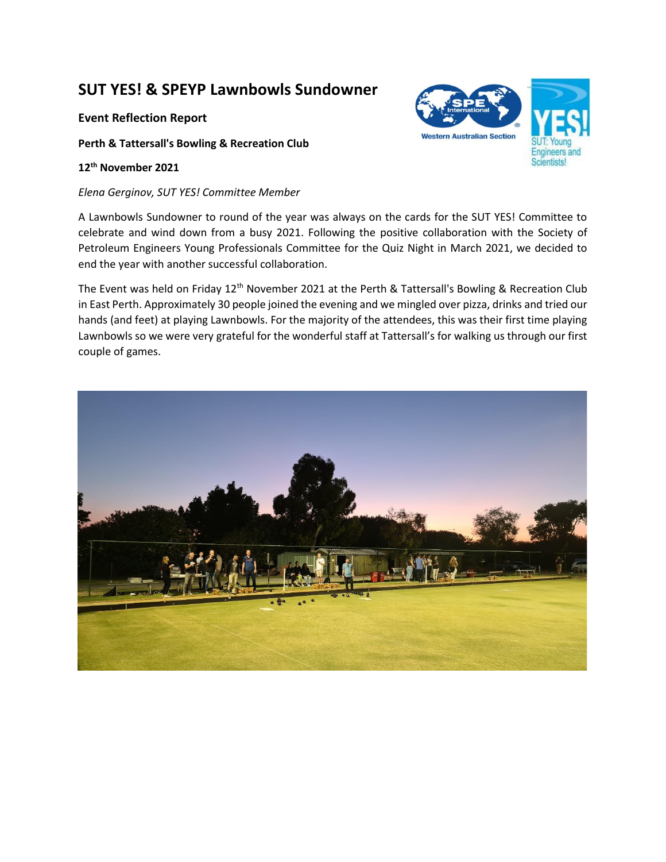## **SUT YES! & SPEYP Lawnbowls Sundowner**

## **Event Reflection Report**

**Perth & Tattersall's Bowling & Recreation Club**

## **12th November 2021**

## *Elena Gerginov, SUT YES! Committee Member*

A Lawnbowls Sundowner to round of the year was always on the cards for the SUT YES! Committee to celebrate and wind down from a busy 2021. Following the positive collaboration with the Society of Petroleum Engineers Young Professionals Committee for the Quiz Night in March 2021, we decided to end the year with another successful collaboration.

The Event was held on Friday 12<sup>th</sup> November 2021 at the Perth & Tattersall's Bowling & Recreation Club in East Perth. Approximately 30 people joined the evening and we mingled over pizza, drinks and tried our hands (and feet) at playing Lawnbowls. For the majority of the attendees, this was their first time playing Lawnbowls so we were very grateful for the wonderful staff at Tattersall's for walking us through our first couple of games.